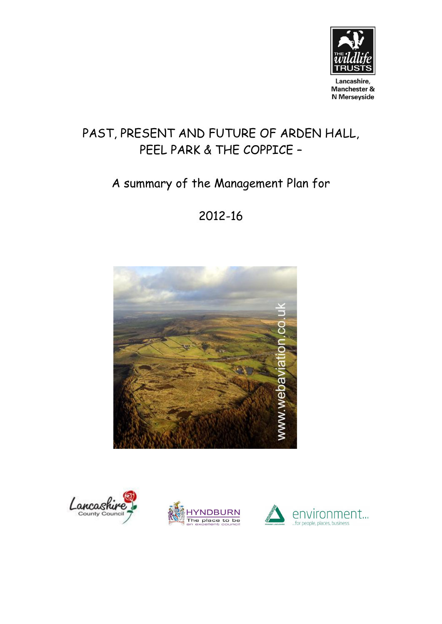

Lancashire, Manchester & N Merseyside

# PAST, PRESENT AND FUTURE OF ARDEN HALL, PEEL PARK & THE COPPICE –

# A summary of the Management Plan for

## 2012-16







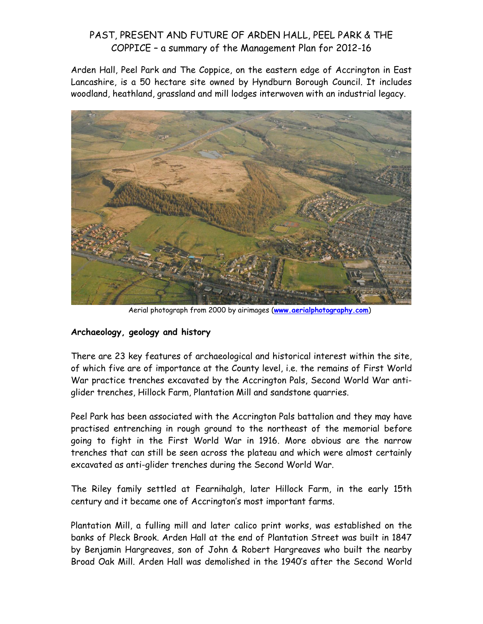Arden Hall, Peel Park and The Coppice, on the eastern edge of Accrington in East Lancashire, is a 50 hectare site owned by Hyndburn Borough Council. It includes woodland, heathland, grassland and mill lodges interwoven with an industrial legacy.



Aerial photograph from 2000 by airimages (**[www.aerialphotography.com](http://www.aerialphotography.com/)**)

#### **Archaeology, geology and history**

There are 23 key features of archaeological and historical interest within the site, of which five are of importance at the County level, i.e. the remains of First World War practice trenches excavated by the Accrington Pals, Second World War antiglider trenches, Hillock Farm, Plantation Mill and sandstone quarries.

Peel Park has been associated with the Accrington Pals battalion and they may have practised entrenching in rough ground to the northeast of the memorial before going to fight in the First World War in 1916. More obvious are the narrow trenches that can still be seen across the plateau and which were almost certainly excavated as anti-glider trenches during the Second World War.

The Riley family settled at Fearnihalgh, later Hillock Farm, in the early 15th century and it became one of Accrington's most important farms.

Plantation Mill, a fulling mill and later calico print works, was established on the banks of Pleck Brook. Arden Hall at the end of Plantation Street was built in 1847 by Benjamin Hargreaves, son of John & Robert Hargreaves who built the nearby Broad Oak Mill. Arden Hall was demolished in the 1940's after the Second World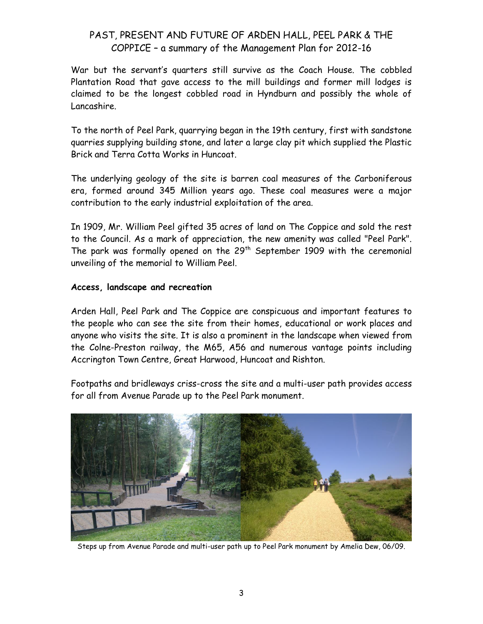War but the servant's quarters still survive as the Coach House. The cobbled Plantation Road that gave access to the mill buildings and former mill lodges is claimed to be the longest cobbled road in Hyndburn and possibly the whole of Lancashire.

To the north of Peel Park, quarrying began in the 19th century, first with sandstone quarries supplying building stone, and later a large clay pit which supplied the Plastic Brick and Terra Cotta Works in Huncoat.

The underlying geology of the site is barren coal measures of the Carboniferous era, formed around 345 Million years ago. These coal measures were a major contribution to the early industrial exploitation of the area.

In 1909, Mr. William Peel gifted 35 acres of land on The Coppice and sold the rest to the Council. As a mark of appreciation, the new amenity was called "Peel Park". The park was formally opened on the  $29<sup>th</sup>$  September 1909 with the ceremonial unveiling of the memorial to William Peel.

#### **Access, landscape and recreation**

Arden Hall, Peel Park and The Coppice are conspicuous and important features to the people who can see the site from their homes, educational or work places and anyone who visits the site. It is also a prominent in the landscape when viewed from the Colne-Preston railway, the M65, A56 and numerous vantage points including Accrington Town Centre, Great Harwood, Huncoat and Rishton.

Footpaths and bridleways criss-cross the site and a multi-user path provides access for all from Avenue Parade up to the Peel Park monument.



Steps up from Avenue Parade and multi-user path up to Peel Park monument by Amelia Dew, 06/09.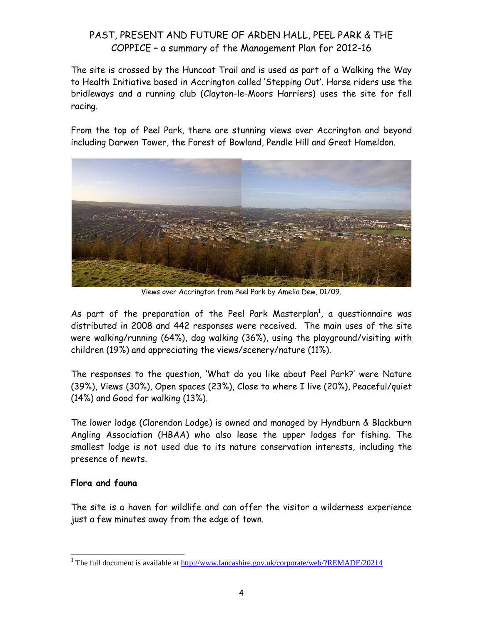The site is crossed by the Huncoat Trail and is used as part of a Walking the Way to Health Initiative based in Accrington called 'Stepping Out'. Horse riders use the bridleways and a running club (Clayton-le-Moors Harriers) uses the site for fell racing.

From the top of Peel Park, there are stunning views over Accrington and beyond including Darwen Tower, the Forest of Bowland, Pendle Hill and Great Hameldon.



Views over Accrington from Peel Park by Amelia Dew, 01/09.

As part of the preparation of the Peel Park Masterplan<sup>1</sup>, a questionnaire was distributed in 2008 and 442 responses were received. The main uses of the site were walking/running (64%), dog walking (36%), using the playground/visiting with children (19%) and appreciating the views/scenery/nature (11%).

The responses to the question, 'What do you like about Peel Park?' were Nature (39%), Views (30%), Open spaces (23%), Close to where I live (20%), Peaceful/quiet (14%) and Good for walking (13%).

The lower lodge (Clarendon Lodge) is owned and managed by Hyndburn & Blackburn Angling Association (HBAA) who also lease the upper lodges for fishing. The smallest lodge is not used due to its nature conservation interests, including the presence of newts.

#### **Flora and fauna**

The site is a haven for wildlife and can offer the visitor a wilderness experience just a few minutes away from the edge of town.

 **<sup>1</sup>** The full document is available at<http://www.lancashire.gov.uk/corporate/web/?REMADE/20214>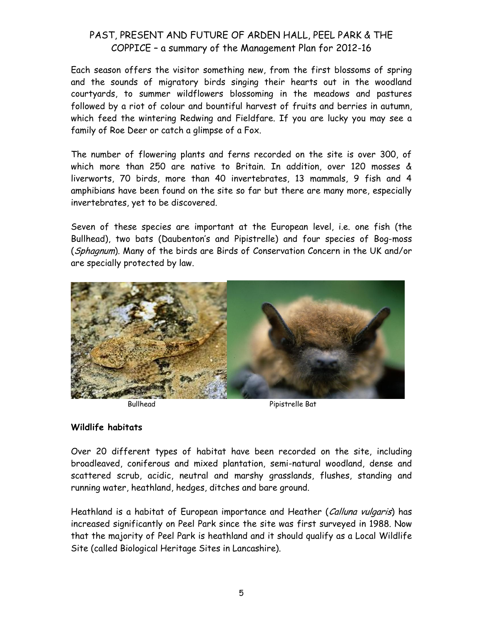Each season offers the visitor something new, from the first blossoms of spring and the sounds of migratory birds singing their hearts out in the woodland courtyards, to summer wildflowers blossoming in the meadows and pastures followed by a riot of colour and bountiful harvest of fruits and berries in autumn, which feed the wintering Redwing and Fieldfare. If you are lucky you may see a family of Roe Deer or catch a glimpse of a Fox.

The number of flowering plants and ferns recorded on the site is over 300, of which more than 250 are native to Britain. In addition, over 120 mosses & liverworts, 70 birds, more than 40 invertebrates, 13 mammals, 9 fish and 4 amphibians have been found on the site so far but there are many more, especially invertebrates, yet to be discovered.

Seven of these species are important at the European level, i.e. one fish (the Bullhead), two bats (Daubenton's and Pipistrelle) and four species of Bog-moss (Sphagnum). Many of the birds are Birds of Conservation Concern in the UK and/or are specially protected by law.



Bullhead Pipistrelle Bat

#### **Wildlife habitats**

Over 20 different types of habitat have been recorded on the site, including broadleaved, coniferous and mixed plantation, semi-natural woodland, dense and scattered scrub, acidic, neutral and marshy grasslands, flushes, standing and running water, heathland, hedges, ditches and bare ground.

Heathland is a habitat of European importance and Heather (*Calluna vulgaris*) has increased significantly on Peel Park since the site was first surveyed in 1988. Now that the majority of Peel Park is heathland and it should qualify as a Local Wildlife Site (called Biological Heritage Sites in Lancashire).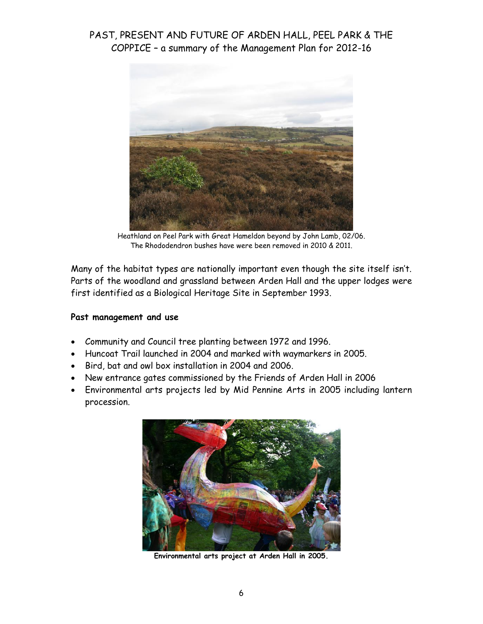

Heathland on Peel Park with Great Hameldon beyond by John Lamb, 02/06. The Rhododendron bushes have were been removed in 2010 & 2011.

Many of the habitat types are nationally important even though the site itself isn't. Parts of the woodland and grassland between Arden Hall and the upper lodges were first identified as a Biological Heritage Site in September 1993.

#### **Past management and use**

- Community and Council tree planting between 1972 and 1996.
- Huncoat Trail launched in 2004 and marked with waymarkers in 2005.
- Bird, bat and owl box installation in 2004 and 2006.
- New entrance gates commissioned by the Friends of Arden Hall in 2006
- Environmental arts projects led by Mid Pennine Arts in 2005 including lantern procession.



**Environmental arts project at Arden Hall in 2005.**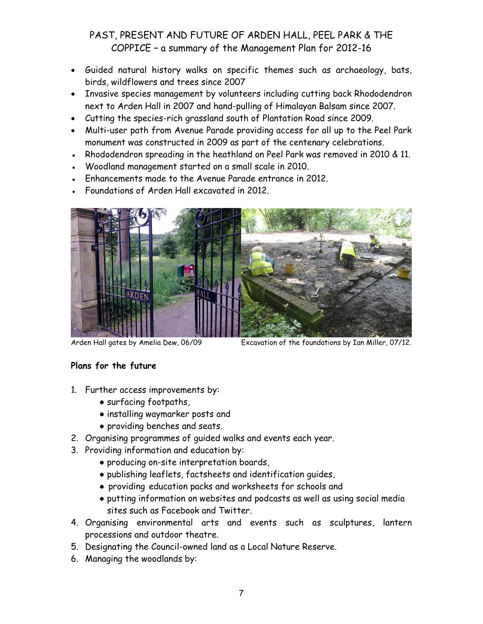- Guided natural history walks on specific themes such as archaeology, bats, birds, wildflowers and trees since 2007
- Invasive species management by volunteers including cutting back Rhododendron next to Arden Hall in 2007 and hand-pulling of Himalayan Balsam since 2007.
- Cutting the species-rich grassland south of Plantation Road since 2009.
- Multi-user path from Avenue Parade providing access for all up to the Peel Park monument was constructed in 2009 as part of the centenary celebrations.
- Rhododendron spreading in the heathland on Peel Park was removed in 2010 & 11.
- Woodland management started on a small scale in 2010.
- Enhancements made to the Avenue Parade entrance in 2012.
- Foundations of Arden Hall excavated in 2012.



Arden Hall gates by Amelia Dew, 06/09 Excavation of the foundations by Ian Miller, 07/12.

#### **Plans for the future**

- 1. Further access improvements by:
	- surfacing footpaths,
	- installing waymarker posts and
	- providing benches and seats.
- 2. Organising programmes of guided walks and events each year.
- 3. Providing information and education by:
	- producing on-site interpretation boards,
	- publishing leaflets, factsheets and identification guides,
	- providing education packs and worksheets for schools and
	- putting information on websites and podcasts as well as using social media sites such as Facebook and Twitter.
- 4. Organising environmental arts and events such as sculptures, lantern processions and outdoor theatre.
- 5. Designating the Council-owned land as a Local Nature Reserve.
- 6. Managing the woodlands by: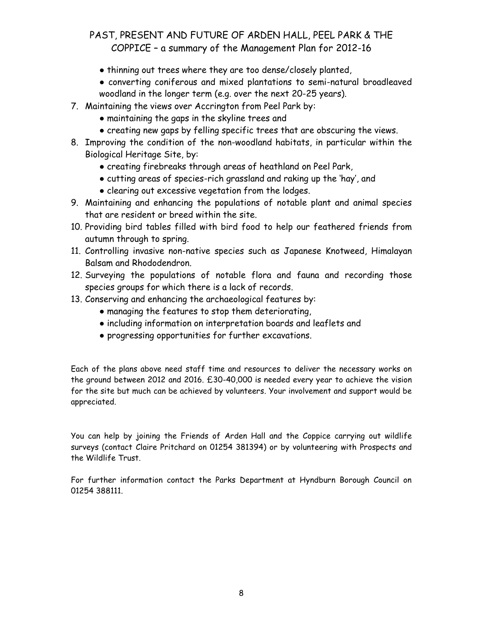- thinning out trees where they are too dense/closely planted,
- converting coniferous and mixed plantations to semi-natural broadleaved woodland in the longer term (e.g. over the next 20-25 years).
- 7. Maintaining the views over Accrington from Peel Park by:
	- maintaining the gaps in the skyline trees and
	- creating new gaps by felling specific trees that are obscuring the views.
- 8. Improving the condition of the non-woodland habitats, in particular within the Biological Heritage Site, by:
	- creating firebreaks through areas of heathland on Peel Park,
	- cutting areas of species-rich grassland and raking up the 'hay', and
	- clearing out excessive vegetation from the lodges.
- 9. Maintaining and enhancing the populations of notable plant and animal species that are resident or breed within the site.
- 10. Providing bird tables filled with bird food to help our feathered friends from autumn through to spring.
- 11. Controlling invasive non-native species such as Japanese Knotweed, Himalayan Balsam and Rhododendron.
- 12. Surveying the populations of notable flora and fauna and recording those species groups for which there is a lack of records.
- 13. Conserving and enhancing the archaeological features by:
	- managing the features to stop them deteriorating,
	- including information on interpretation boards and leaflets and
	- progressing opportunities for further excavations.

Each of the plans above need staff time and resources to deliver the necessary works on the ground between 2012 and 2016. £30-40,000 is needed every year to achieve the vision for the site but much can be achieved by volunteers. Your involvement and support would be appreciated.

You can help by joining the Friends of Arden Hall and the Coppice carrying out wildlife surveys (contact Claire Pritchard on 01254 381394) or by volunteering with Prospects and the Wildlife Trust.

For further information contact the Parks Department at Hyndburn Borough Council on 01254 388111.